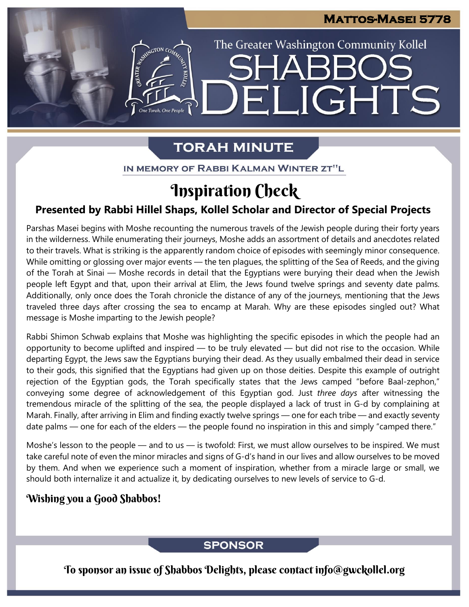The Greater Washington Community Kollel

ELIGHTS

## **TORAH MINUTE**

EMERGION CON

IN MEMORY OF RABBI KALMAN WINTER ZT"L

## **Inspiration Check**

## **Presented by Rabbi Hillel Shaps, Kollel Scholar and Director of Special Projects**

Parshas Masei begins with Moshe recounting the numerous travels of the Jewish people during their forty years in the wilderness. While enumerating their journeys, Moshe adds an assortment of details and anecdotes related to their travels. What is striking is the apparently random choice of episodes with seemingly minor consequence. While omitting or glossing over major events — the ten plagues, the splitting of the Sea of Reeds, and the giving of the Torah at Sinai — Moshe records in detail that the Egyptians were burying their dead when the Jewish people left Egypt and that, upon their arrival at Elim, the Jews found twelve springs and seventy date palms. Additionally, only once does the Torah chronicle the distance of any of the journeys, mentioning that the Jews traveled three days after crossing the sea to encamp at Marah. Why are these episodes singled out? What message is Moshe imparting to the Jewish people?

Rabbi Shimon Schwab explains that Moshe was highlighting the specific episodes in which the people had an opportunity to become uplifted and inspired — to be truly elevated — but did not rise to the occasion. While departing Egypt, the Jews saw the Egyptians burying their dead. As they usually embalmed their dead in service to their gods, this signified that the Egyptians had given up on those deities. Despite this example of outright rejection of the Egyptian gods, the Torah specifically states that the Jews camped "before Baal-zephon," conveying some degree of acknowledgement of this Egyptian god. Just *three days* after witnessing the tremendous miracle of the splitting of the sea, the people displayed a lack of trust in G-d by complaining at Marah. Finally, after arriving in Elim and finding exactly twelve springs — one for each tribe — and exactly seventy date palms — one for each of the elders — the people found no inspiration in this and simply "camped there."

Moshe's lesson to the people — and to us — is twofold: First, we must allow ourselves to be inspired. We must take careful note of even the minor miracles and signs of G-d's hand in our lives and allow ourselves to be moved by them. And when we experience such a moment of inspiration, whether from a miracle large or small, we should both internalize it and actualize it, by dedicating ourselves to new levels of service to G-d.

## Wishing you a Good Shabbos!

## **SPONSOR**

To sponsor an issue of Shabbos Delights, please contact info@gwckollel.org